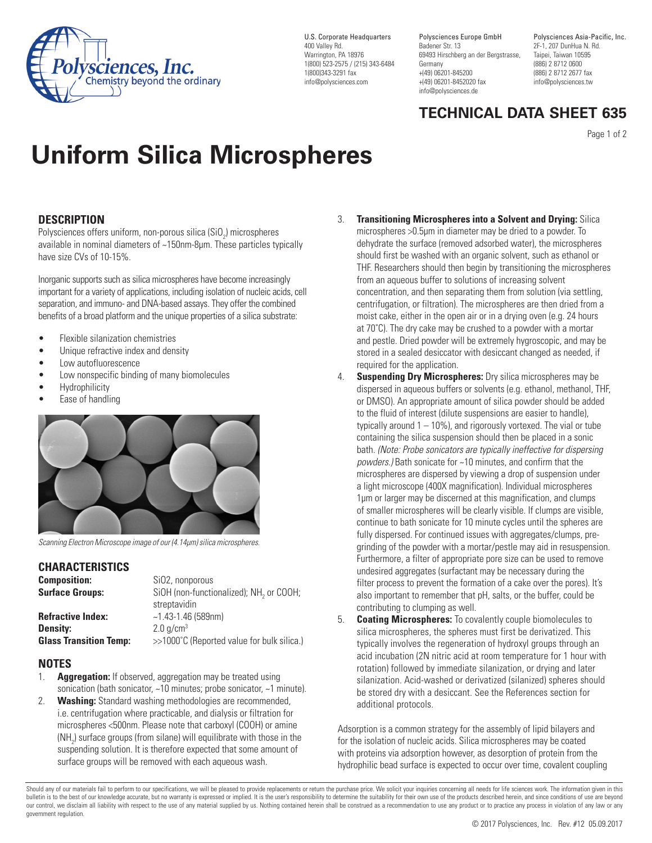

U.S. Corporate Headquarters 400 Valley Rd. Warrington, PA 18976 1(800) 523-2575 / (215) 343-6484 1(800)343-3291 fax info@polysciences.com

Polysciences Europe GmbH Badener Str. 13 69493 Hirschberg an der Bergstrasse, Germany +(49) 06201-845200 +(49) 06201-8452020 fax info@polysciences.de

Polysciences Asia-Pacific, Inc. 2F-1, 207 DunHua N. Rd. Taipei, Taiwan 10595 (886) 2 8712 0600 (886) 2 8712 2677 fax info@polysciences.tw

# **TECHNICAL DATA SHEET 635**

Page 1 of 2

# **Uniform Silica Microspheres**

# **DESCRIPTION**

Polysciences offers uniform, non-porous silica (SiO<sub>2</sub>) microspheres available in nominal diameters of ~150nm-8µm. These particles typically have size CVs of 10-15%.

Inorganic supports such as silica microspheres have become increasingly important for a variety of applications, including isolation of nucleic acids, cell separation, and immuno- and DNA-based assays. They offer the combined benefits of a broad platform and the unique properties of a silica substrate:

- Flexible silanization chemistries
- Unique refractive index and density
- Low autofluorescence
- Low nonspecific binding of many biomolecules
- **Hydrophilicity**
- Ease of handling



*Scanning Electron Microscope image of our (4.14µm) silica microspheres.*

## **CHARACTERISTICS**

| <b>Composition:</b>           | SiO <sub>2</sub> , nonporous                        |
|-------------------------------|-----------------------------------------------------|
| <b>Surface Groups:</b>        | SiOH (non-functionalized); NH <sub>2</sub> or COOH; |
|                               | streptavidin                                        |
| <b>Refractive Index:</b>      | $~1.43 - 1.46$ (589nm)                              |
| Density:                      | $2.0$ g/cm <sup>3</sup>                             |
| <b>Glass Transition Temp:</b> | >>1000°C (Reported value for bulk silica.)          |

## **NOTES**

- 1. **Aggregation:** If observed, aggregation may be treated using sonication (bath sonicator, ~10 minutes; probe sonicator, ~1 minute).
- 2. **Washing:** Standard washing methodologies are recommended, i.e. centrifugation where practicable, and dialysis or filtration for microspheres <500nm. Please note that carboxyl (COOH) or amine (NH<sub>2</sub>) surface groups (from silane) will equilibrate with those in the suspending solution. It is therefore expected that some amount of surface groups will be removed with each aqueous wash.
- **Transitioning Microspheres into a Solvent and Drying: Silica** microspheres >0.5µm in diameter may be dried to a powder. To dehydrate the surface (removed adsorbed water), the microspheres should first be washed with an organic solvent, such as ethanol or THF. Researchers should then begin by transitioning the microspheres from an aqueous buffer to solutions of increasing solvent concentration, and then separating them from solution (via settling, centrifugation, or filtration). The microspheres are then dried from a moist cake, either in the open air or in a drying oven (e.g. 24 hours at 70˚C). The dry cake may be crushed to a powder with a mortar and pestle. Dried powder will be extremely hygroscopic, and may be stored in a sealed desiccator with desiccant changed as needed, if required for the application.
- 4. **Suspending Dry Microspheres:** Dry silica microspheres may be dispersed in aqueous buffers or solvents (e.g. ethanol, methanol, THF, or DMSO). An appropriate amount of silica powder should be added to the fluid of interest (dilute suspensions are easier to handle), typically around  $1 - 10\%$ ), and rigorously vortexed. The vial or tube containing the silica suspension should then be placed in a sonic bath. *(Note: Probe sonicators are typically ineffective for dispersing powders.)* Bath sonicate for ~10 minutes, and confirm that the microspheres are dispersed by viewing a drop of suspension under a light microscope (400X magnification). Individual microspheres 1µm or larger may be discerned at this magnification, and clumps of smaller microspheres will be clearly visible. If clumps are visible, continue to bath sonicate for 10 minute cycles until the spheres are fully dispersed. For continued issues with aggregates/clumps, pregrinding of the powder with a mortar/pestle may aid in resuspension. Furthermore, a filter of appropriate pore size can be used to remove undesired aggregates (surfactant may be necessary during the filter process to prevent the formation of a cake over the pores). It's also important to remember that pH, salts, or the buffer, could be contributing to clumping as well.
- 5. **Coating Microspheres:** To covalently couple biomolecules to silica microspheres, the spheres must first be derivatized. This typically involves the regeneration of hydroxyl groups through an acid incubation (2N nitric acid at room temperature for 1 hour with rotation) followed by immediate silanization, or drying and later silanization. Acid-washed or derivatized (silanized) spheres should be stored dry with a desiccant. See the References section for additional protocols.

Adsorption is a common strategy for the assembly of lipid bilayers and for the isolation of nucleic acids. Silica microspheres may be coated with proteins via adsorption however, as desorption of protein from the hydrophilic bead surface is expected to occur over time, covalent coupling

Should any of our materials fail to perform to our specifications, we will be pleased to provide replacements or return the purchase price. We solicit your inquiries concerning all needs for life sciences work. The informa bulletin is to the best of our knowledge accurate, but no warranty is expressed or implied. It is the user's responsibility to determine the suitability for their own use of the products described herein, and since conditi our control, we disclaim all liability with respect to the use of any material supplied by us. Nothing contained herein shall be construed as a recommendation to use any product or to practice any process in violation of a government regulation.